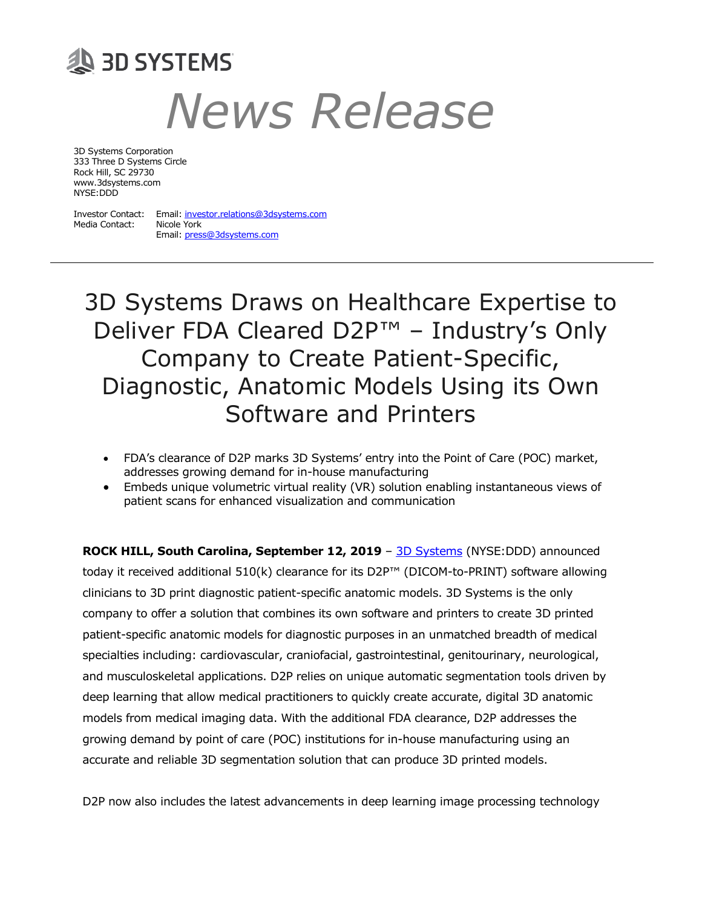# **SID SYSTEMS** *News Release*

3D Systems Corporation 333 Three D Systems Circle Rock Hill, SC 29730 www.3dsystems.com NYSE:DDD

Media Contact: Nicole York

Investor Contact: Email[: investor.relations@3dsystems.com](mailto:investor.relations@3dsystems.com) Email[: press@3dsystems.com](mailto:press@3dsystems.com)

3D Systems Draws on Healthcare Expertise to Deliver FDA Cleared D2P™ – Industry's Only Company to Create Patient-Specific, Diagnostic, Anatomic Models Using its Own Software and Printers

- FDA's clearance of D2P marks 3D Systems' entry into the Point of Care (POC) market, addresses growing demand for in-house manufacturing
- Embeds unique volumetric virtual reality (VR) solution enabling instantaneous views of patient scans for enhanced visualization and communication

**ROCK HILL, South Carolina, September 12, 2019** – [3D Systems](https://www.3dsystems.com/?utm_source=Press%20Release&utm_medium=Press%20Release&utm_campaign=70134000001OH42&utm_content=PRSR_Company%20Press%20Release) (NYSE:DDD) announced today it received additional 510(k) clearance for its D2P™ (DICOM-to-PRINT) software allowing clinicians to 3D print diagnostic patient-specific anatomic models. 3D Systems is the only company to offer a solution that combines its own software and printers to create 3D printed patient-specific anatomic models for diagnostic purposes in an unmatched breadth of medical specialties including: cardiovascular, craniofacial, gastrointestinal, genitourinary, neurological, and musculoskeletal applications. D2P relies on unique automatic segmentation tools driven by deep learning that allow medical practitioners to quickly create accurate, digital 3D anatomic models from medical imaging data. With the additional FDA clearance, D2P addresses the growing demand by point of care (POC) institutions for in-house manufacturing using an accurate and reliable 3D segmentation solution that can produce 3D printed models.

D2P now also includes the latest advancements in deep learning image processing technology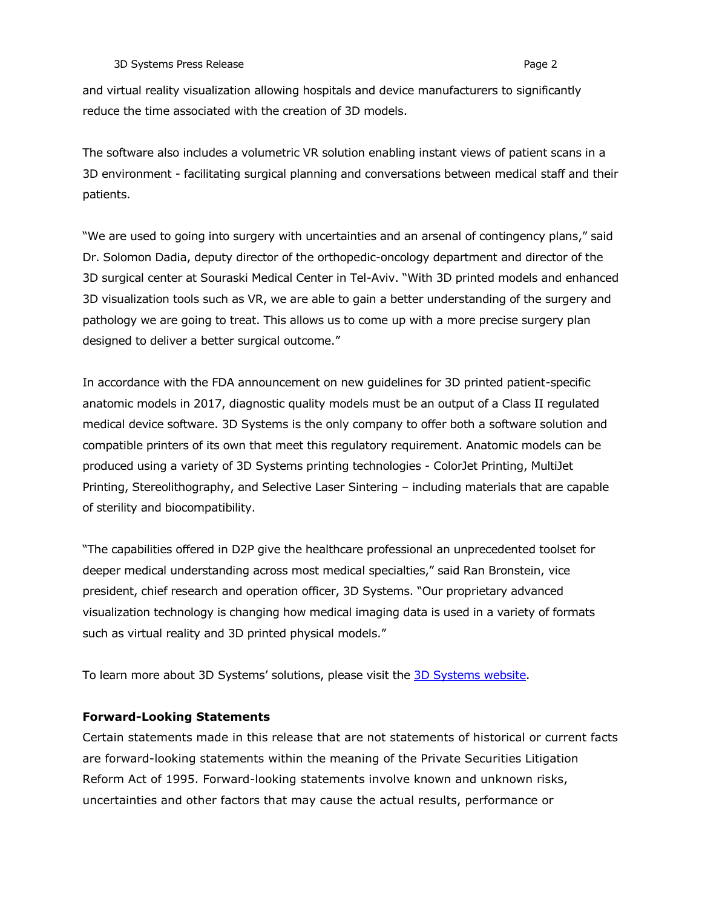**3D Systems Press Release Page 2 Page 2 Page 2** 

and virtual reality visualization allowing hospitals and device manufacturers to significantly reduce the time associated with the creation of 3D models.

The software also includes a volumetric VR solution enabling instant views of patient scans in a 3D environment - facilitating surgical planning and conversations between medical staff and their patients.

"We are used to going into surgery with uncertainties and an arsenal of contingency plans," said Dr. Solomon Dadia, deputy director of the orthopedic-oncology department and director of the 3D surgical center at Souraski Medical Center in Tel-Aviv. "With 3D printed models and enhanced 3D visualization tools such as VR, we are able to gain a better understanding of the surgery and pathology we are going to treat. This allows us to come up with a more precise surgery plan designed to deliver a better surgical outcome."

In accordance with the FDA announcement on new guidelines for 3D printed patient-specific anatomic models in 2017, diagnostic quality models must be an output of a Class II regulated medical device software. 3D Systems is the only company to offer both a software solution and compatible printers of its own that meet this regulatory requirement. Anatomic models can be produced using a variety of 3D Systems printing technologies - ColorJet Printing, MultiJet Printing, Stereolithography, and Selective Laser Sintering – including materials that are capable of sterility and biocompatibility.

"The capabilities offered in D2P give the healthcare professional an unprecedented toolset for deeper medical understanding across most medical specialties," said Ran Bronstein, vice president, chief research and operation officer, 3D Systems. "Our proprietary advanced visualization technology is changing how medical imaging data is used in a variety of formats such as virtual reality and 3D printed physical models."

To learn more about 3D Systems' solutions, please visit the [3D Systems website.](https://www.3dsystems.com/?utm_source=Press%20Release&utm_medium=Press%20Release&utm_campaign=70134000001OH42&utm_content=PRSR_Company%20Press%20Release)

# **Forward-Looking Statements**

Certain statements made in this release that are not statements of historical or current facts are forward-looking statements within the meaning of the Private Securities Litigation Reform Act of 1995. Forward-looking statements involve known and unknown risks, uncertainties and other factors that may cause the actual results, performance or